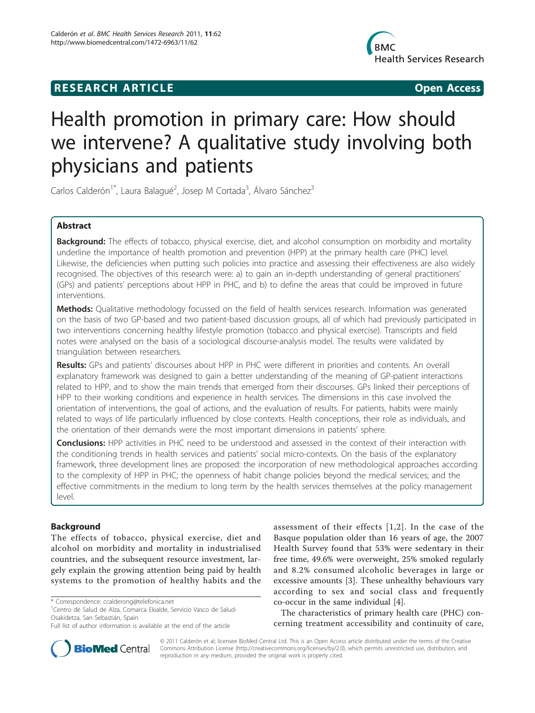## **RESEARCH ARTICLE Example 2018 CONSIDERING ACCESS**



# Health promotion in primary care: How should we intervene? A qualitative study involving both physicians and patients

Carlos Calderón<sup>1\*</sup>, Laura Balagué<sup>2</sup>, Josep M Cortada<sup>3</sup>, Álvaro Sánchez<sup>3</sup>

## Abstract

Background: The effects of tobacco, physical exercise, diet, and alcohol consumption on morbidity and mortality underline the importance of health promotion and prevention (HPP) at the primary health care (PHC) level. Likewise, the deficiencies when putting such policies into practice and assessing their effectiveness are also widely recognised. The objectives of this research were: a) to gain an in-depth understanding of general practitioners' (GPs) and patients' perceptions about HPP in PHC, and b) to define the areas that could be improved in future interventions.

Methods: Qualitative methodology focussed on the field of health services research. Information was generated on the basis of two GP-based and two patient-based discussion groups, all of which had previously participated in two interventions concerning healthy lifestyle promotion (tobacco and physical exercise). Transcripts and field notes were analysed on the basis of a sociological discourse-analysis model. The results were validated by triangulation between researchers.

Results: GPs and patients' discourses about HPP in PHC were different in priorities and contents. An overall explanatory framework was designed to gain a better understanding of the meaning of GP-patient interactions related to HPP, and to show the main trends that emerged from their discourses. GPs linked their perceptions of HPP to their working conditions and experience in health services. The dimensions in this case involved the orientation of interventions, the goal of actions, and the evaluation of results. For patients, habits were mainly related to ways of life particularly influenced by close contexts. Health conceptions, their role as individuals, and the orientation of their demands were the most important dimensions in patients' sphere.

**Conclusions:** HPP activities in PHC need to be understood and assessed in the context of their interaction with the conditioning trends in health services and patients' social micro-contexts. On the basis of the explanatory framework, three development lines are proposed: the incorporation of new methodological approaches according to the complexity of HPP in PHC; the openness of habit change policies beyond the medical services; and the effective commitments in the medium to long term by the health services themselves at the policy management level.

## Background

The effects of tobacco, physical exercise, diet and alcohol on morbidity and mortality in industrialised countries, and the subsequent resource investment, largely explain the growing attention being paid by health systems to the promotion of healthy habits and the

1 Centro de Salud de Alza, Comarca Ekialde, Servicio Vasco de Salud-Osakidetza, San Sebastián, Spain

assessment of their effects [[1,2\]](#page-9-0). In the case of the Basque population older than 16 years of age, the 2007 Health Survey found that 53% were sedentary in their free time, 49.6% were overweight, 25% smoked regularly and 8.2% consumed alcoholic beverages in large or excessive amounts [[3\]](#page-9-0). These unhealthy behaviours vary according to sex and social class and frequently co-occur in the same individual [\[4](#page-9-0)].

The characteristics of primary health care (PHC) concerning treatment accessibility and continuity of care,



© 2011 Calderón et al; licensee BioMed Central Ltd. This is an Open Access article distributed under the terms of the Creative Commons Attribution License [\(http://creativecommons.org/licenses/by/2.0](http://creativecommons.org/licenses/by/2.0)), which permits unrestricted use, distribution, and reproduction in any medium, provided the original work is properly cited.

<sup>\*</sup> Correspondence: [ccalderong@telefonica.net](mailto:ccalderong@telefonica.net)

Full list of author information is available at the end of the article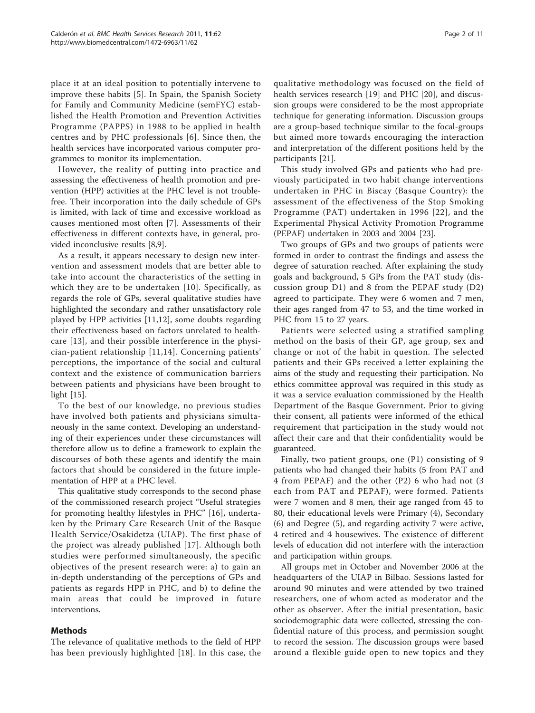place it at an ideal position to potentially intervene to improve these habits [[5](#page-9-0)]. In Spain, the Spanish Society for Family and Community Medicine (semFYC) established the Health Promotion and Prevention Activities Programme (PAPPS) in 1988 to be applied in health centres and by PHC professionals [[6](#page-9-0)]. Since then, the health services have incorporated various computer programmes to monitor its implementation.

However, the reality of putting into practice and assessing the effectiveness of health promotion and prevention (HPP) activities at the PHC level is not troublefree. Their incorporation into the daily schedule of GPs is limited, with lack of time and excessive workload as causes mentioned most often [[7\]](#page-9-0). Assessments of their effectiveness in different contexts have, in general, provided inconclusive results [\[8,9\]](#page-9-0).

As a result, it appears necessary to design new intervention and assessment models that are better able to take into account the characteristics of the setting in which they are to be undertaken [\[10\]](#page-9-0). Specifically, as regards the role of GPs, several qualitative studies have highlighted the secondary and rather unsatisfactory role played by HPP activities [\[11,12](#page-9-0)], some doubts regarding their effectiveness based on factors unrelated to healthcare [\[13](#page-9-0)], and their possible interference in the physician-patient relationship [[11](#page-9-0),[14\]](#page-9-0). Concerning patients' perceptions, the importance of the social and cultural context and the existence of communication barriers between patients and physicians have been brought to light [\[15](#page-9-0)].

To the best of our knowledge, no previous studies have involved both patients and physicians simultaneously in the same context. Developing an understanding of their experiences under these circumstances will therefore allow us to define a framework to explain the discourses of both these agents and identify the main factors that should be considered in the future implementation of HPP at a PHC level.

This qualitative study corresponds to the second phase of the commissioned research project "Useful strategies for promoting healthy lifestyles in PHC" [\[16](#page-9-0)], undertaken by the Primary Care Research Unit of the Basque Health Service/Osakidetza (UIAP). The first phase of the project was already published [\[17](#page-9-0)]. Although both studies were performed simultaneously, the specific objectives of the present research were: a) to gain an in-depth understanding of the perceptions of GPs and patients as regards HPP in PHC, and b) to define the main areas that could be improved in future interventions.

## **Methods**

The relevance of qualitative methods to the field of HPP has been previously highlighted [\[18\]](#page-9-0). In this case, the

qualitative methodology was focused on the field of health services research [\[19](#page-9-0)] and PHC [\[20](#page-9-0)], and discussion groups were considered to be the most appropriate technique for generating information. Discussion groups are a group-based technique similar to the focal-groups but aimed more towards encouraging the interaction and interpretation of the different positions held by the participants [[21\]](#page-9-0).

This study involved GPs and patients who had previously participated in two habit change interventions undertaken in PHC in Biscay (Basque Country): the assessment of the effectiveness of the Stop Smoking Programme (PAT) undertaken in 1996 [[22](#page-9-0)], and the Experimental Physical Activity Promotion Programme (PEPAF) undertaken in 2003 and 2004 [\[23\]](#page-9-0).

Two groups of GPs and two groups of patients were formed in order to contrast the findings and assess the degree of saturation reached. After explaining the study goals and background, 5 GPs from the PAT study (discussion group D1) and 8 from the PEPAF study (D2) agreed to participate. They were 6 women and 7 men, their ages ranged from 47 to 53, and the time worked in PHC from 15 to 27 years.

Patients were selected using a stratified sampling method on the basis of their GP, age group, sex and change or not of the habit in question. The selected patients and their GPs received a letter explaining the aims of the study and requesting their participation. No ethics committee approval was required in this study as it was a service evaluation commissioned by the Health Department of the Basque Government. Prior to giving their consent, all patients were informed of the ethical requirement that participation in the study would not affect their care and that their confidentiality would be guaranteed.

Finally, two patient groups, one (P1) consisting of 9 patients who had changed their habits (5 from PAT and 4 from PEPAF) and the other (P2) 6 who had not (3 each from PAT and PEPAF), were formed. Patients were 7 women and 8 men, their age ranged from 45 to 80, their educational levels were Primary (4), Secondary (6) and Degree (5), and regarding activity 7 were active, 4 retired and 4 housewives. The existence of different levels of education did not interfere with the interaction and participation within groups.

All groups met in October and November 2006 at the headquarters of the UIAP in Bilbao. Sessions lasted for around 90 minutes and were attended by two trained researchers, one of whom acted as moderator and the other as observer. After the initial presentation, basic sociodemographic data were collected, stressing the confidential nature of this process, and permission sought to record the session. The discussion groups were based around a flexible guide open to new topics and they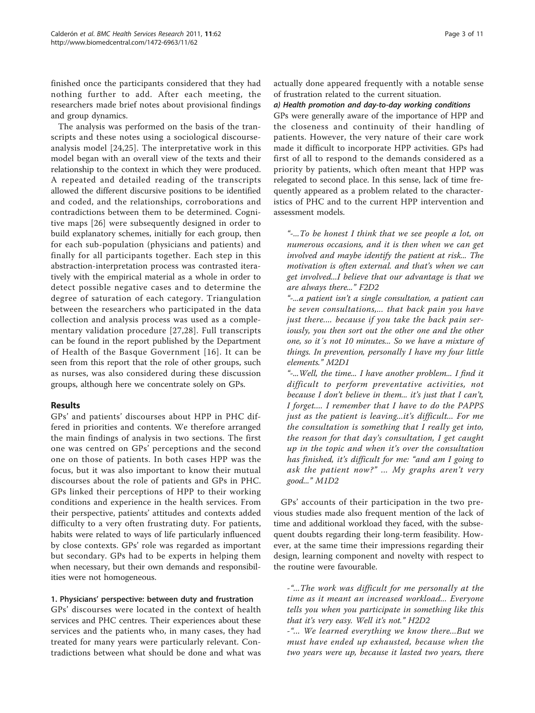finished once the participants considered that they had nothing further to add. After each meeting, the researchers made brief notes about provisional findings and group dynamics.

The analysis was performed on the basis of the transcripts and these notes using a sociological discourseanalysis model [[24](#page-9-0),[25\]](#page-9-0). The interpretative work in this model began with an overall view of the texts and their relationship to the context in which they were produced. A repeated and detailed reading of the transcripts allowed the different discursive positions to be identified and coded, and the relationships, corroborations and contradictions between them to be determined. Cognitive maps [[26\]](#page-9-0) were subsequently designed in order to build explanatory schemes, initially for each group, then for each sub-population (physicians and patients) and finally for all participants together. Each step in this abstraction-interpretation process was contrasted iteratively with the empirical material as a whole in order to detect possible negative cases and to determine the degree of saturation of each category. Triangulation between the researchers who participated in the data collection and analysis process was used as a complementary validation procedure [[27,28](#page-9-0)]. Full transcripts can be found in the report published by the Department of Health of the Basque Government [[16\]](#page-9-0). It can be seen from this report that the role of other groups, such as nurses, was also considered during these discussion groups, although here we concentrate solely on GPs.

### Results

GPs' and patients' discourses about HPP in PHC differed in priorities and contents. We therefore arranged the main findings of analysis in two sections. The first one was centred on GPs' perceptions and the second one on those of patients. In both cases HPP was the focus, but it was also important to know their mutual discourses about the role of patients and GPs in PHC. GPs linked their perceptions of HPP to their working conditions and experience in the health services. From their perspective, patients' attitudes and contexts added difficulty to a very often frustrating duty. For patients, habits were related to ways of life particularly influenced by close contexts. GPs' role was regarded as important but secondary. GPs had to be experts in helping them when necessary, but their own demands and responsibilities were not homogeneous.

#### 1. Physicians' perspective: between duty and frustration

GPs' discourses were located in the context of health services and PHC centres. Their experiences about these services and the patients who, in many cases, they had treated for many years were particularly relevant. Contradictions between what should be done and what was actually done appeared frequently with a notable sense of frustration related to the current situation.

#### a) Health promotion and day-to-day working conditions

GPs were generally aware of the importance of HPP and the closeness and continuity of their handling of patients. However, the very nature of their care work made it difficult to incorporate HPP activities. GPs had first of all to respond to the demands considered as a priority by patients, which often meant that HPP was relegated to second place. In this sense, lack of time frequently appeared as a problem related to the characteristics of PHC and to the current HPP intervention and assessment models.

"-...To be honest I think that we see people a lot, on numerous occasions, and it is then when we can get involved and maybe identify the patient at risk... The motivation is often external. and that's when we can get involved...I believe that our advantage is that we are always there..." F2D2

"-...a patient isn't a single consultation, a patient can be seven consultations,... that back pain you have just there.... because if you take the back pain seriously, you then sort out the other one and the other one, so it´s not 10 minutes... So we have a mixture of things. In prevention, personally I have my four little elements." M2D1

"-...Well, the time... I have another problem... I find it difficult to perform preventative activities, not because I don't believe in them... it's just that I can't, I forget.... I remember that I have to do the PAPPS just as the patient is leaving...it's difficult... For me the consultation is something that I really get into, the reason for that day's consultation, I get caught up in the topic and when it's over the consultation has finished, it's difficult for me: "and am I going to ask the patient now?" ... My graphs aren't very good..." M1D2

GPs' accounts of their participation in the two previous studies made also frequent mention of the lack of time and additional workload they faced, with the subsequent doubts regarding their long-term feasibility. However, at the same time their impressions regarding their design, learning component and novelty with respect to the routine were favourable.

-"...The work was difficult for me personally at the time as it meant an increased workload... Everyone tells you when you participate in something like this that it's very easy. Well it's not." H2D2

-"... We learned everything we know there...But we must have ended up exhausted, because when the two years were up, because it lasted two years, there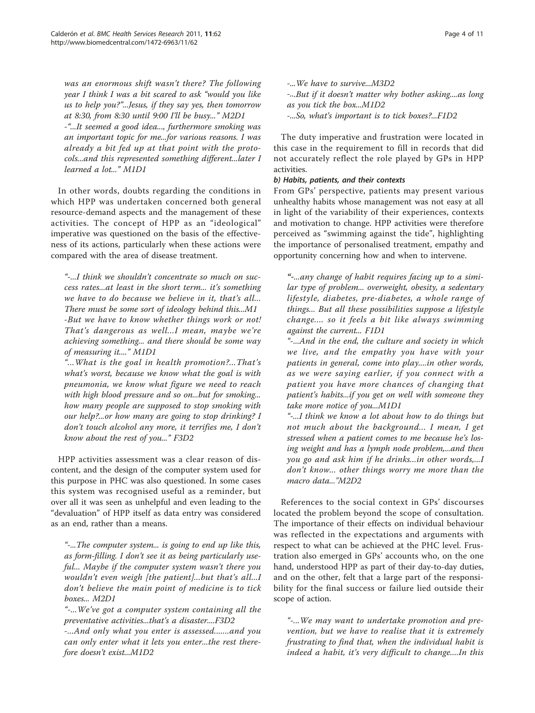was an enormous shift wasn't there? The following year I think I was a bit scared to ask "would you like us to help you?"...Jesus, if they say yes, then tomorrow at 8:30, from 8:30 until 9:00 I'll be busy..." M2D1 -"...It seemed a good idea..., furthermore smoking was an important topic for me...for various reasons. I was already a bit fed up at that point with the protocols...and this represented something different...later I learned a lot..." M1D1

In other words, doubts regarding the conditions in which HPP was undertaken concerned both general resource-demand aspects and the management of these activities. The concept of HPP as an "ideological" imperative was questioned on the basis of the effectiveness of its actions, particularly when these actions were compared with the area of disease treatment.

"-...I think we shouldn't concentrate so much on success rates...at least in the short term... it's something we have to do because we believe in it, that's all... There must be some sort of ideology behind this...M1 -But we have to know whether things work or not! That's dangerous as well...I mean, maybe we're achieving something... and there should be some way of measuring it...." M1D1

"...What is the goal in health promotion?...That's what's worst, because we know what the goal is with pneumonia, we know what figure we need to reach with high blood pressure and so on...but for smoking... how many people are supposed to stop smoking with our help?...or how many are going to stop drinking? I don't touch alcohol any more, it terrifies me, I don't know about the rest of you..." F3D2

HPP activities assessment was a clear reason of discontent, and the design of the computer system used for this purpose in PHC was also questioned. In some cases this system was recognised useful as a reminder, but over all it was seen as unhelpful and even leading to the "devaluation" of HPP itself as data entry was considered as an end, rather than a means.

"-...The computer system... is going to end up like this, as form-filling. I don't see it as being particularly useful... Maybe if the computer system wasn't there you wouldn't even weigh [the patient]...but that's all...I don't believe the main point of medicine is to tick boxes... M2D1

"-...We've got a computer system containing all the preventative activities...that's a disaster....F3D2

-...And only what you enter is assessed.......and you can only enter what it lets you enter...the rest therefore doesn't exist...M1D2

-...We have to survive...M3D2 -...But if it doesn't matter why bother asking....as long as you tick the box...M1D2 -...So, what's important is to tick boxes?...F1D2

The duty imperative and frustration were located in this case in the requirement to fill in records that did not accurately reflect the role played by GPs in HPP activities.

#### b) Habits, patients, and their contexts

From GPs' perspective, patients may present various unhealthy habits whose management was not easy at all in light of the variability of their experiences, contexts and motivation to change. HPP activities were therefore perceived as "swimming against the tide", highlighting the importance of personalised treatment, empathy and opportunity concerning how and when to intervene.

"-...any change of habit requires facing up to a similar type of problem... overweight, obesity, a sedentary lifestyle, diabetes, pre-diabetes, a whole range of things... But all these possibilities suppose a lifestyle change.... so it feels a bit like always swimming against the current... F1D1

"-...And in the end, the culture and society in which we live, and the empathy you have with your patients in general, come into play....in other words, as we were saying earlier, if you connect with a patient you have more chances of changing that patient's habits...if you get on well with someone they take more notice of you...M1D1

"-...I think we know a lot about how to do things but not much about the background... I mean, I get stressed when a patient comes to me because he's losing weight and has a lymph node problem,...and then you go and ask him if he drinks...in other words,...I don't know... other things worry me more than the macro data..."M2D2

References to the social context in GPs' discourses located the problem beyond the scope of consultation. The importance of their effects on individual behaviour was reflected in the expectations and arguments with respect to what can be achieved at the PHC level. Frustration also emerged in GPs' accounts who, on the one hand, understood HPP as part of their day-to-day duties, and on the other, felt that a large part of the responsibility for the final success or failure lied outside their scope of action.

"-...We may want to undertake promotion and prevention, but we have to realise that it is extremely frustrating to find that, when the individual habit is indeed a habit, it's very difficult to change....In this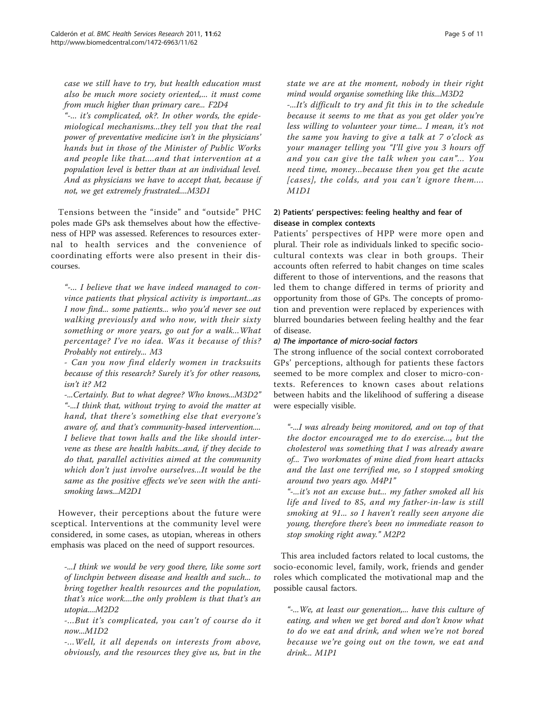case we still have to try, but health education must also be much more society oriented,... it must come from much higher than primary care... F2D4

"-... it's complicated, ok?. In other words, the epidemiological mechanisms...they tell you that the real power of preventative medicine isn't in the physicians' hands but in those of the Minister of Public Works and people like that....and that intervention at a population level is better than at an individual level. And as physicians we have to accept that, because if not, we get extremely frustrated....M3D1

Tensions between the "inside" and "outside" PHC poles made GPs ask themselves about how the effectiveness of HPP was assessed. References to resources external to health services and the convenience of coordinating efforts were also present in their discourses.

"-... I believe that we have indeed managed to convince patients that physical activity is important...as I now find... some patients... who you'd never see out walking previously and who now, with their sixty something or more years, go out for a walk...What percentage? I've no idea. Was it because of this? Probably not entirely... M3

- Can you now find elderly women in tracksuits because of this research? Surely it's for other reasons, isn't it? M2

-...Certainly. But to what degree? Who knows...M3D2" "-...I think that, without trying to avoid the matter at hand, that there's something else that everyone's aware of, and that's community-based intervention.... I believe that town halls and the like should intervene as these are health habits...and, if they decide to do that, parallel activities aimed at the community which don't just involve ourselves...It would be the same as the positive effects we've seen with the antismoking laws...M2D1

However, their perceptions about the future were sceptical. Interventions at the community level were considered, in some cases, as utopian, whereas in others emphasis was placed on the need of support resources.

-...I think we would be very good there, like some sort of linchpin between disease and health and such... to bring together health resources and the population, that's nice work....the only problem is that that's an utopia....M2D2

-...But it's complicated, you can't of course do it now...M1D2

-...Well, it all depends on interests from above, obviously, and the resources they give us, but in the state we are at the moment, nobody in their right mind would organise something like this...M3D2

-...It's difficult to try and fit this in to the schedule because it seems to me that as you get older you're less willing to volunteer your time... I mean, it's not the same you having to give a talk at 7 o'clock as your manager telling you "I'll give you 3 hours off and you can give the talk when you can"... You need time, money...because then you get the acute [cases], the colds, and you can't ignore them.... M1D1

## 2) Patients' perspectives: feeling healthy and fear of disease in complex contexts

Patients' perspectives of HPP were more open and plural. Their role as individuals linked to specific sociocultural contexts was clear in both groups. Their accounts often referred to habit changes on time scales different to those of interventions, and the reasons that led them to change differed in terms of priority and opportunity from those of GPs. The concepts of promotion and prevention were replaced by experiences with blurred boundaries between feeling healthy and the fear of disease.

### a) The importance of micro-social factors

The strong influence of the social context corroborated GPs' perceptions, although for patients these factors seemed to be more complex and closer to micro-contexts. References to known cases about relations between habits and the likelihood of suffering a disease were especially visible.

"-...I was already being monitored, and on top of that the doctor encouraged me to do exercise..., but the cholesterol was something that I was already aware of... Two workmates of mine died from heart attacks and the last one terrified me, so I stopped smoking around two years ago. M4P1"

"-...it's not an excuse but... my father smoked all his life and lived to 85, and my father-in-law is still smoking at 91... so I haven't really seen anyone die young, therefore there's been no immediate reason to stop smoking right away." M2P2

This area included factors related to local customs, the socio-economic level, family, work, friends and gender roles which complicated the motivational map and the possible causal factors.

"-...We, at least our generation,... have this culture of eating, and when we get bored and don't know what to do we eat and drink, and when we're not bored because we're going out on the town, we eat and drink... M1P1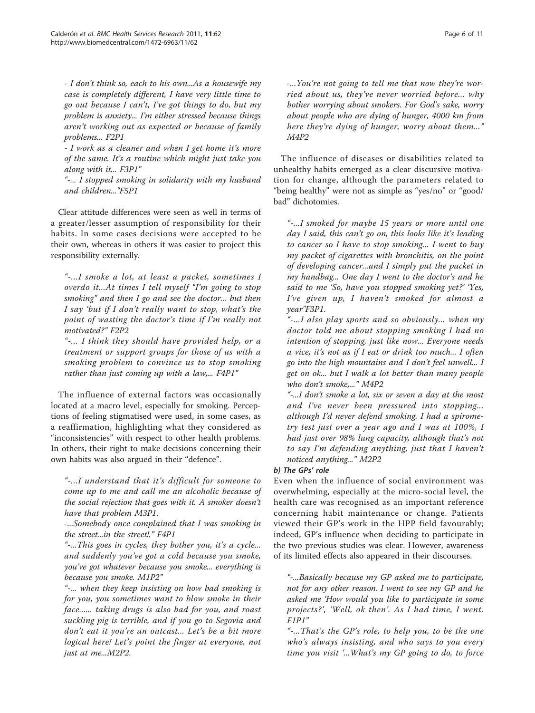- I don't think so, each to his own...As a housewife my case is completely different, I have very little time to go out because I can't, I've got things to do, but my problem is anxiety... I'm either stressed because things aren't working out as expected or because of family problems... F2P1

- I work as a cleaner and when I get home it's more of the same. It's a routine which might just take you along with it... F3P1"

"-... I stopped smoking in solidarity with my husband and children..."F5P1

Clear attitude differences were seen as well in terms of a greater/lesser assumption of responsibility for their habits. In some cases decisions were accepted to be their own, whereas in others it was easier to project this responsibility externally.

"-...I smoke a lot, at least a packet, sometimes I overdo it...At times I tell myself "I'm going to stop smoking" and then I go and see the doctor... but then I say 'but if I don't really want to stop, what's the point of wasting the doctor's time if I'm really not motivated?" F2P2

"-... I think they should have provided help, or a treatment or support groups for those of us with a smoking problem to convince us to stop smoking rather than just coming up with a law,... F4P1"

The influence of external factors was occasionally located at a macro level, especially for smoking. Perceptions of feeling stigmatised were used, in some cases, as a reaffirmation, highlighting what they considered as "inconsistencies" with respect to other health problems. In others, their right to make decisions concerning their own habits was also argued in their "defence".

"-...I understand that it's difficult for someone to come up to me and call me an alcoholic because of the social rejection that goes with it. A smoker doesn't have that problem M3P1.

-...Somebody once complained that I was smoking in the street...in the street!." F4P1

"-...This goes in cycles, they bother you, it's a cycle... and suddenly you've got a cold because you smoke, you've got whatever because you smoke... everything is because you smoke. M1P2"

"-... when they keep insisting on how bad smoking is for you, you sometimes want to blow smoke in their face...... taking drugs is also bad for you, and roast suckling pig is terrible, and if you go to Segovia and don't eat it you're an outcast... Let's be a bit more logical here! Let's point the finger at everyone, not just at me...M2P2.

-...You're not going to tell me that now they're worried about us, they've never worried before... why bother worrying about smokers. For God's sake, worry about people who are dying of hunger, 4000 km from here they're dying of hunger, worry about them..." M4P2

The influence of diseases or disabilities related to unhealthy habits emerged as a clear discursive motivation for change, although the parameters related to "being healthy" were not as simple as "yes/no" or "good/ bad" dichotomies.

"-...I smoked for maybe 15 years or more until one day I said, this can't go on, this looks like it's leading to cancer so I have to stop smoking... I went to buy my packet of cigarettes with bronchitis, on the point of developing cancer...and I simply put the packet in my handbag... One day I went to the doctor's and he said to me 'So, have you stopped smoking yet?' 'Yes, I've given up, I haven't smoked for almost a year"F3P1.

"-...I also play sports and so obviously... when my doctor told me about stopping smoking I had no intention of stopping, just like now... Everyone needs a vice, it's not as if I eat or drink too much... I often go into the high mountains and I don't feel unwell... I get on ok... but I walk a lot better than many people who don't smoke,..." M4P2

"-...I don't smoke a lot, six or seven a day at the most and I've never been pressured into stopping... although I'd never defend smoking. I had a spirometry test just over a year ago and I was at 100%, I had just over 98% lung capacity, although that's not to say I'm defending anything, just that I haven't noticed anything..." M2P2

### b) The GPs' role

Even when the influence of social environment was overwhelming, especially at the micro-social level, the health care was recognised as an important reference concerning habit maintenance or change. Patients viewed their GP's work in the HPP field favourably; indeed, GP's influence when deciding to participate in the two previous studies was clear. However, awareness of its limited effects also appeared in their discourses.

"-...Basically because my GP asked me to participate, not for any other reason. I went to see my GP and he asked me 'How would you like to participate in some projects?', 'Well, ok then'. As I had time, I went. F1P1"

"-...That's the GP's role, to help you, to be the one who's always insisting, and who says to you every time you visit '...What's my GP going to do, to force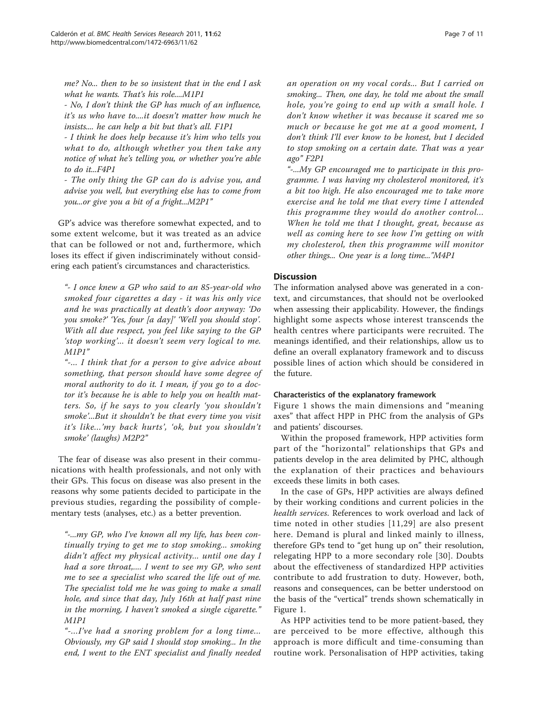me? No... then to be so insistent that in the end I ask what he wants. That's his role....M1P1

- No, I don't think the GP has much of an influence, it's us who have to....it doesn't matter how much he insists.... he can help a bit but that's all. F1P1

- I think he does help because it's him who tells you what to do, although whether you then take any notice of what he's telling you, or whether you're able to do it...F4P1

- The only thing the GP can do is advise you, and advise you well, but everything else has to come from you...or give you a bit of a fright...M2P1"

GP's advice was therefore somewhat expected, and to some extent welcome, but it was treated as an advice that can be followed or not and, furthermore, which loses its effect if given indiscriminately without considering each patient's circumstances and characteristics.

"- I once knew a GP who said to an 85-year-old who smoked four cigarettes a day - it was his only vice and he was practically at death's door anyway: 'Do you smoke?' 'Yes, four [a day]' 'Well you should stop'. With all due respect, you feel like saying to the GP 'stop working'... it doesn't seem very logical to me. M1P1"

"-... I think that for a person to give advice about something, that person should have some degree of moral authority to do it. I mean, if you go to a doctor it's because he is able to help you on health matters. So, if he says to you clearly 'you shouldn't smoke'...But it shouldn't be that every time you visit it's like...'my back hurts', 'ok, but you shouldn't smoke' (laughs) M2P2"

The fear of disease was also present in their communications with health professionals, and not only with their GPs. This focus on disease was also present in the reasons why some patients decided to participate in the previous studies, regarding the possibility of complementary tests (analyses, etc.) as a better prevention.

"-...my GP, who I've known all my life, has been continually trying to get me to stop smoking... smoking didn't affect my physical activity... until one day I had a sore throat,.... I went to see my GP, who sent me to see a specialist who scared the life out of me. The specialist told me he was going to make a small hole, and since that day, July 16th at half past nine in the morning, I haven't smoked a single cigarette." M1P1

"-...I've had a snoring problem for a long time... Obviously, my GP said I should stop smoking... In the end, I went to the ENT specialist and finally needed an operation on my vocal cords... But I carried on smoking... Then, one day, he told me about the small hole, you're going to end up with a small hole. I don't know whether it was because it scared me so much or because he got me at a good moment, I don't think I'll ever know to be honest, but I decided to stop smoking on a certain date. That was a year ago" F2P1

"-...My GP encouraged me to participate in this programme. I was having my cholesterol monitored, it's a bit too high. He also encouraged me to take more exercise and he told me that every time I attended this programme they would do another control... When he told me that I thought, great, because as well as coming here to see how I'm getting on with my cholesterol, then this programme will monitor other things... One year is a long time..."M4P1

### **Discussion**

The information analysed above was generated in a context, and circumstances, that should not be overlooked when assessing their applicability. However, the findings highlight some aspects whose interest transcends the health centres where participants were recruited. The meanings identified, and their relationships, allow us to define an overall explanatory framework and to discuss possible lines of action which should be considered in the future.

## Characteristics of the explanatory framework

Figure [1](#page-7-0) shows the main dimensions and "meaning axes" that affect HPP in PHC from the analysis of GPs and patients' discourses.

Within the proposed framework, HPP activities form part of the "horizontal" relationships that GPs and patients develop in the area delimited by PHC, although the explanation of their practices and behaviours exceeds these limits in both cases.

In the case of GPs, HPP activities are always defined by their working conditions and current policies in the health services. References to work overload and lack of time noted in other studies [[11,29\]](#page-9-0) are also present here. Demand is plural and linked mainly to illness, therefore GPs tend to "get hung up on" their resolution, relegating HPP to a more secondary role [\[30\]](#page-9-0). Doubts about the effectiveness of standardized HPP activities contribute to add frustration to duty. However, both, reasons and consequences, can be better understood on the basis of the "vertical" trends shown schematically in Figure [1](#page-7-0).

As HPP activities tend to be more patient-based, they are perceived to be more effective, although this approach is more difficult and time-consuming than routine work. Personalisation of HPP activities, taking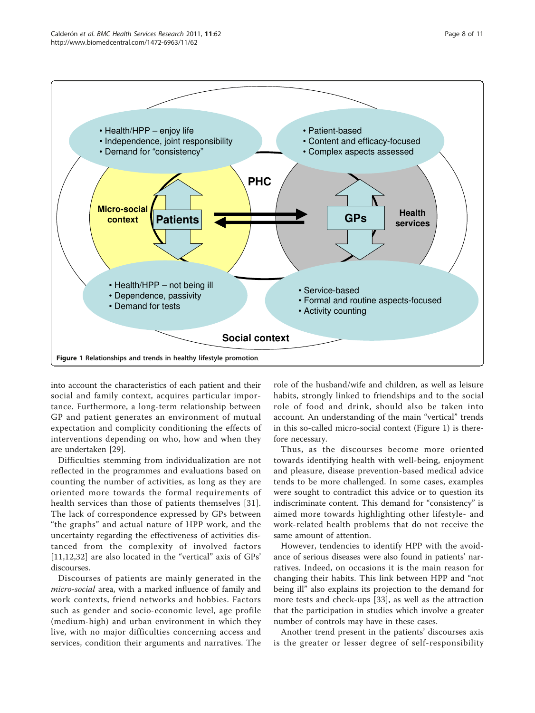<span id="page-7-0"></span>

into account the characteristics of each patient and their social and family context, acquires particular importance. Furthermore, a long-term relationship between GP and patient generates an environment of mutual expectation and complicity conditioning the effects of interventions depending on who, how and when they are undertaken [[29\]](#page-9-0).

Difficulties stemming from individualization are not reflected in the programmes and evaluations based on counting the number of activities, as long as they are oriented more towards the formal requirements of health services than those of patients themselves [[31\]](#page-9-0). The lack of correspondence expressed by GPs between "the graphs" and actual nature of HPP work, and the uncertainty regarding the effectiveness of activities distanced from the complexity of involved factors [[11,12](#page-9-0),[32\]](#page-9-0) are also located in the "vertical" axis of GPs' discourses.

Discourses of patients are mainly generated in the micro-social area, with a marked influence of family and work contexts, friend networks and hobbies. Factors such as gender and socio-economic level, age profile (medium-high) and urban environment in which they live, with no major difficulties concerning access and services, condition their arguments and narratives. The role of the husband/wife and children, as well as leisure habits, strongly linked to friendships and to the social role of food and drink, should also be taken into account. An understanding of the main "vertical" trends in this so-called micro-social context (Figure 1) is therefore necessary.

Thus, as the discourses become more oriented towards identifying health with well-being, enjoyment and pleasure, disease prevention-based medical advice tends to be more challenged. In some cases, examples were sought to contradict this advice or to question its indiscriminate content. This demand for "consistency" is aimed more towards highlighting other lifestyle- and work-related health problems that do not receive the same amount of attention.

However, tendencies to identify HPP with the avoidance of serious diseases were also found in patients' narratives. Indeed, on occasions it is the main reason for changing their habits. This link between HPP and "not being ill" also explains its projection to the demand for more tests and check-ups [\[33](#page-9-0)], as well as the attraction that the participation in studies which involve a greater number of controls may have in these cases.

Another trend present in the patients' discourses axis is the greater or lesser degree of self-responsibility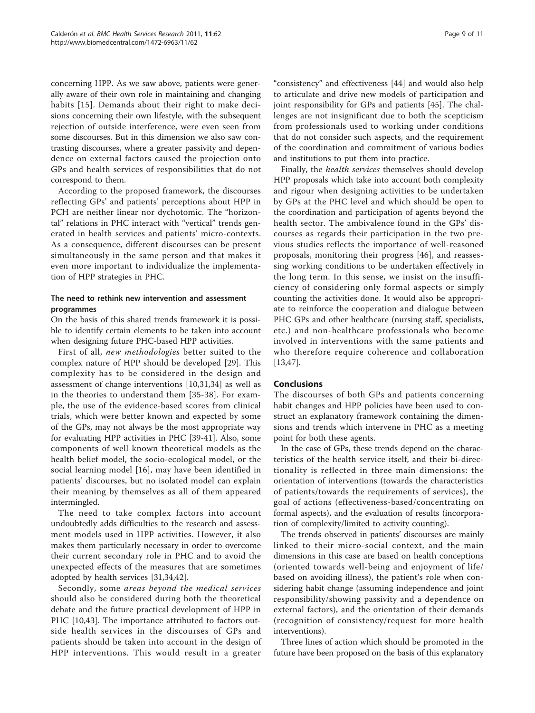concerning HPP. As we saw above, patients were generally aware of their own role in maintaining and changing habits [[15](#page-9-0)]. Demands about their right to make decisions concerning their own lifestyle, with the subsequent rejection of outside interference, were even seen from some discourses. But in this dimension we also saw contrasting discourses, where a greater passivity and dependence on external factors caused the projection onto GPs and health services of responsibilities that do not correspond to them.

According to the proposed framework, the discourses reflecting GPs' and patients' perceptions about HPP in PCH are neither linear nor dychotomic. The "horizontal" relations in PHC interact with "vertical" trends generated in health services and patients' micro-contexts. As a consequence, different discourses can be present simultaneously in the same person and that makes it even more important to individualize the implementation of HPP strategies in PHC.

## The need to rethink new intervention and assessment programmes

On the basis of this shared trends framework it is possible to identify certain elements to be taken into account when designing future PHC-based HPP activities.

First of all, new methodologies better suited to the complex nature of HPP should be developed [[29\]](#page-9-0). This complexity has to be considered in the design and assessment of change interventions [\[10,31](#page-9-0)[,34](#page-10-0)] as well as in the theories to understand them [[35-38\]](#page-10-0). For example, the use of the evidence-based scores from clinical trials, which were better known and expected by some of the GPs, may not always be the most appropriate way for evaluating HPP activities in PHC [[39-41\]](#page-10-0). Also, some components of well known theoretical models as the health belief model, the socio-ecological model, or the social learning model [[16](#page-9-0)], may have been identified in patients' discourses, but no isolated model can explain their meaning by themselves as all of them appeared intermingled.

The need to take complex factors into account undoubtedly adds difficulties to the research and assessment models used in HPP activities. However, it also makes them particularly necessary in order to overcome their current secondary role in PHC and to avoid the unexpected effects of the measures that are sometimes adopted by health services [\[31](#page-9-0)[,34,42\]](#page-10-0).

Secondly, some areas beyond the medical services should also be considered during both the theoretical debate and the future practical development of HPP in PHC [\[10](#page-9-0),[43\]](#page-10-0). The importance attributed to factors outside health services in the discourses of GPs and patients should be taken into account in the design of HPP interventions. This would result in a greater

"consistency" and effectiveness [[44](#page-10-0)] and would also help to articulate and drive new models of participation and joint responsibility for GPs and patients [\[45](#page-10-0)]. The challenges are not insignificant due to both the scepticism from professionals used to working under conditions that do not consider such aspects, and the requirement of the coordination and commitment of various bodies and institutions to put them into practice.

Finally, the health services themselves should develop HPP proposals which take into account both complexity and rigour when designing activities to be undertaken by GPs at the PHC level and which should be open to the coordination and participation of agents beyond the health sector. The ambivalence found in the GPs' discourses as regards their participation in the two previous studies reflects the importance of well-reasoned proposals, monitoring their progress [\[46\]](#page-10-0), and reassessing working conditions to be undertaken effectively in the long term. In this sense, we insist on the insufficiency of considering only formal aspects or simply counting the activities done. It would also be appropriate to reinforce the cooperation and dialogue between PHC GPs and other healthcare (nursing staff, specialists, etc.) and non-healthcare professionals who become involved in interventions with the same patients and who therefore require coherence and collaboration [[13,](#page-9-0)[47\]](#page-10-0).

### Conclusions

The discourses of both GPs and patients concerning habit changes and HPP policies have been used to construct an explanatory framework containing the dimensions and trends which intervene in PHC as a meeting point for both these agents.

In the case of GPs, these trends depend on the characteristics of the health service itself, and their bi-directionality is reflected in three main dimensions: the orientation of interventions (towards the characteristics of patients/towards the requirements of services), the goal of actions (effectiveness-based/concentrating on formal aspects), and the evaluation of results (incorporation of complexity/limited to activity counting).

The trends observed in patients' discourses are mainly linked to their micro-social context, and the main dimensions in this case are based on health conceptions (oriented towards well-being and enjoyment of life/ based on avoiding illness), the patient's role when considering habit change (assuming independence and joint responsibility/showing passivity and a dependence on external factors), and the orientation of their demands (recognition of consistency/request for more health interventions).

Three lines of action which should be promoted in the future have been proposed on the basis of this explanatory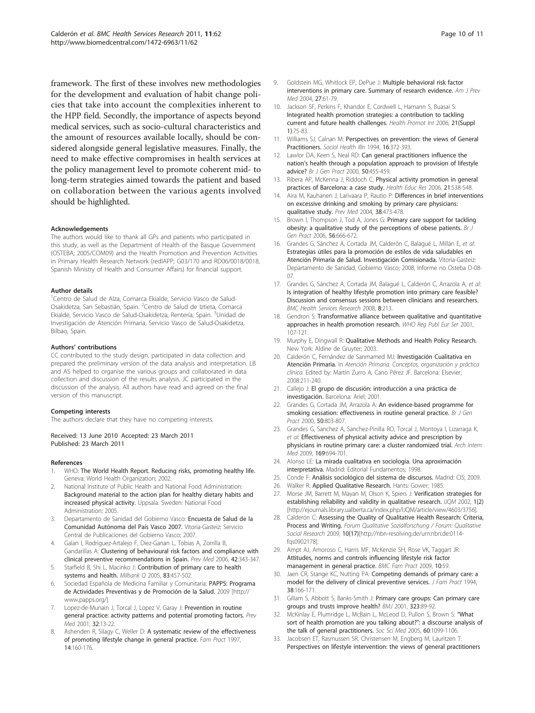<span id="page-9-0"></span>framework. The first of these involves new methodologies for the development and evaluation of habit change policies that take into account the complexities inherent to the HPP field. Secondly, the importance of aspects beyond medical services, such as socio-cultural characteristics and the amount of resources available locally, should be considered alongside general legislative measures. Finally, the need to make effective compromises in health services at the policy management level to promote coherent mid- to long-term strategies aimed towards the patient and based on collaboration between the various agents involved should be highlighted.

#### Acknowledgements

The authors would like to thank all GPs and patients who participated in this study, as well as the Department of Health of the Basque Government (OSTEBA; 2005/COM09) and the Health Promotion and Prevention Activities in Primary Health Research Network (redIAPP; G03/170 and RD06/0018/0018, Spanish Ministry of Health and Consumer Affairs) for financial support.

#### Author details

<sup>1</sup>Centro de Salud de Alza, Comarca Ekialde, Servicio Vasco de Salud-Osakidetza, San Sebastián, Spain. <sup>2</sup>Centro de Salud de Iztieta, Comarca Ekialde, Servicio Vasco de Salud-Osakidetza, Rentería, Spain. <sup>3</sup>Unidad de Investigación de Atención Primaria, Servicio Vasco de Salud-Osakidetza, Bilbao, Spain.

#### Authors' contributions

CC contributed to the study design, participated in data collection and prepared the preliminary version of the data analysis and interpretation. LB and AS helped to organise the various groups and collaborated in data collection and discussion of the results analysis. JC participated in the discussion of the analysis. All authors have read and agreed on the final version of this manuscript.

#### Competing interests

The authors declare that they have no competing interests.

Received: 13 June 2010 Accepted: 23 March 2011 Published: 23 March 2011

#### References

- 1. WHO: The World Health Report. Reducing risks, promoting healthy life. Geneva: World Health Organization: 2002.
- 2. National Institute of Public Health and National Food Administration: Background material to the action plan for healthy dietary habits and increased physical activity. Uppsala. Sweden: National Food Administration; 2005.
- 3. Departamento de Sanidad del Gobierno Vasco: Encuesta de Salud de la Comunidad Autónoma del País Vasco 2007. Vitoria-Gasteiz: Servicio Central de Publicaciones del Gobierno Vasco; 2007.
- 4. Galan I, Rodriguez-Artalejo F, Diez-Ganan L, Tobias A, Zorrilla B, Gandarillas A: [Clustering of behavioural risk factors and compliance with](http://www.ncbi.nlm.nih.gov/pubmed/16545444?dopt=Abstract) [clinical preventive recommendations in Spain.](http://www.ncbi.nlm.nih.gov/pubmed/16545444?dopt=Abstract) Prev Med 2006, 42:343-347.
- 5. Starfield B, Shi L, Macinko J: [Contribution of primary care to health](http://www.ncbi.nlm.nih.gov/pubmed/16202000?dopt=Abstract) [systems and health.](http://www.ncbi.nlm.nih.gov/pubmed/16202000?dopt=Abstract) Milbank Q 2005, 83:457-502.
- Sociedad Española de Medicina Familiar y Comunitaria: PAPPS: Programa de Actividades Preventivas y de Promoción de la Salud. 2009 [[http://](http://www.papps.org/) [www.papps.org/\]](http://www.papps.org/).
- Lopez-de-Munain J, Torcal J, Lopez V, Garay J: [Prevention in routine](http://www.ncbi.nlm.nih.gov/pubmed/11162322?dopt=Abstract) [general practice: activity patterns and potential promoting factors.](http://www.ncbi.nlm.nih.gov/pubmed/11162322?dopt=Abstract) Prev Med 2001, 32:13-22.
- Ashenden R, Silagy C, Weller D: [A systematic review of the effectiveness](http://www.ncbi.nlm.nih.gov/pubmed/9137956?dopt=Abstract) [of promoting lifestyle change in general practice.](http://www.ncbi.nlm.nih.gov/pubmed/9137956?dopt=Abstract) Fam Pract 1997, 14:160-176.
- 9. Goldstein MG, Whitlock EP, DePue J: [Multiple behavioral risk factor](http://www.ncbi.nlm.nih.gov/pubmed/15275675?dopt=Abstract) [interventions in primary care. Summary of research evidence.](http://www.ncbi.nlm.nih.gov/pubmed/15275675?dopt=Abstract) Am J Prev Med 2004, 27:61-79.
- 10. Jackson SF, Perkins F, Khandor E, Cordwell L, Hamann S, Buasai S: [Integrated health promotion strategies: a contribution to tackling](http://www.ncbi.nlm.nih.gov/pubmed/17307960?dopt=Abstract) [current and future health challenges.](http://www.ncbi.nlm.nih.gov/pubmed/17307960?dopt=Abstract) Health Promot Int 2006, 21(Suppl 1):75-83.
- 11. Williams SJ, Calnan M: Perspectives on prevention: the views of General Practitioners. Sociol Health Illn 1994, 16:372-393.
- 12. Lawlor DA, Keen S, Neal RD: [Can general practitioners influence the](http://www.ncbi.nlm.nih.gov/pubmed/10962782?dopt=Abstract) nation'[s health through a population approach to provision of lifestyle](http://www.ncbi.nlm.nih.gov/pubmed/10962782?dopt=Abstract) [advice?](http://www.ncbi.nlm.nih.gov/pubmed/10962782?dopt=Abstract) Br J Gen Pract 2000, 50:455-459.
- 13. Ribera AP, McKenna J, Riddoch C: [Physical activity promotion in general](http://www.ncbi.nlm.nih.gov/pubmed/16702195?dopt=Abstract) [practices of Barcelona: a case study.](http://www.ncbi.nlm.nih.gov/pubmed/16702195?dopt=Abstract) Health Educ Res 2006, 21:538-548.
- 14. Aira M, Kauhanen J, Larivaara P, Rautio P: [Differences in brief interventions](http://www.ncbi.nlm.nih.gov/pubmed/15020181?dopt=Abstract) [on excessive drinking and smoking by primary care physicians:](http://www.ncbi.nlm.nih.gov/pubmed/15020181?dopt=Abstract) [qualitative study.](http://www.ncbi.nlm.nih.gov/pubmed/15020181?dopt=Abstract) Prev Med 2004, 38:473-478.
- 15. Brown I, Thompson J, Tod A, Jones G: [Primary care support for tackling](http://www.ncbi.nlm.nih.gov/pubmed/16953998?dopt=Abstract) [obesity: a qualitative study of the perceptions of obese patients.](http://www.ncbi.nlm.nih.gov/pubmed/16953998?dopt=Abstract) Br J Gen Pract 2006, 56:666-672.
- 16. Grandes G, Sánchez A, Cortada JM, Calderón C, Balagué L, Millán E, et al: Estrategias útiles para la promoción de estilos de vida saludables en Atención Primaria de Salud. Investigación Comisionada. Vitoria-Gasteiz: Departamento de Sanidad, Gobierno Vasco; 2008, Informe no Osteba D-08- 07.
- 17. Grandes G, Sánchez A, Cortada JM, Balagué L, Calderón C, Arrazola A, et al: [Is integration of healthy lifestyle promotion into primary care feasible?](http://www.ncbi.nlm.nih.gov/pubmed/18854033?dopt=Abstract) [Discussion and consensus sessions between clinicians and researchers.](http://www.ncbi.nlm.nih.gov/pubmed/18854033?dopt=Abstract) BMC Health Services Research 2008, 8:213.
- 18. Gendron S: [Transformative alliance between qualitative and quantitative](http://www.ncbi.nlm.nih.gov/pubmed/11729768?dopt=Abstract) [approaches in health promotion research.](http://www.ncbi.nlm.nih.gov/pubmed/11729768?dopt=Abstract) WHO Reg Publ Eur Ser 2001, 107-121.
- 19. Murphy E, Dingwall R: Qualitative Methods and Health Policy Research. New York: Aldine de Gruyter; 2003.
- 20. Calderón C, Fernández de Sanmamed MJ: Investigación Cualitativa en Atención Primaria. In Atención Primaria. Conceptos, organización y práctica clínica. Edited by: Martín Zurro A, Cano Pérez JF. Barcelona: Elsevier; 2008:211-240.
- 21. Callejo J: El grupo de discusión: introducción a una práctica de investigación. Barcelona: Ariel; 2001.
- 22. Grandes G, Cortada JM, Arrazola A: [An evidence-based programme for](http://www.ncbi.nlm.nih.gov/pubmed/11127170?dopt=Abstract) [smoking cessation: effectiveness in routine general practice.](http://www.ncbi.nlm.nih.gov/pubmed/11127170?dopt=Abstract) Br J Gen Pract 2000, 50:803-807.
- 23. Grandes G, Sanchez A, Sanchez-Pinilla RO, Torcal J, Montoya I, Lizarraga K, et al: [Effectiveness of physical activity advice and prescription by](http://www.ncbi.nlm.nih.gov/pubmed/19364999?dopt=Abstract) [physicians in routine primary care: a cluster randomized trial.](http://www.ncbi.nlm.nih.gov/pubmed/19364999?dopt=Abstract) Arch Intern Med 2009, 169:694-701.
- 24. Alonso LE: La mirada cualitativa en sociología. Una aproximación interpretativa. Madrid: Editorial Fundamentos; 1998.
- 25. Conde F: Análisis sociológico del sistema de discursos. Madrid: CIS; 2009.
- 26. Walker R: Applied Qualitative Research. Hants: Gower; 1985.
- 27. Morse JM, Barrett M, Mayan M, Olson K, Spiers J: Verification strategies for establishing reliability and validity in qualitative research. IJQM 2002, 1(2) [[http://ejournals.library.ualberta.ca/index.php/IJQM/article/view/4603/3756\]](http://ejournals.library.ualberta.ca/index.php/IJQM/article/view/4603/3756).
- 28. Calderón C: Assessing the Quality of Qualitative Health Research: Criteria, Process and Writing. Forum Qualitative Sozialforschung / Forum: Qualitative Social Research 2009, 10(17)[[http://nbn-resolving.de/urn:nbn:de:0114](http://nbn-resolving.de/urn:nbn:de:0114-fqs0902178) [fqs0902178\]](http://nbn-resolving.de/urn:nbn:de:0114-fqs0902178).
- 29. Ampt AJ, Amoroso C, Harris MF, McKenzie SH, Rose VK, Taggart JR: [Attitudes, norms and controls influencing lifestyle risk factor](http://www.ncbi.nlm.nih.gov/pubmed/19706198?dopt=Abstract) [management in general practice.](http://www.ncbi.nlm.nih.gov/pubmed/19706198?dopt=Abstract) BMC Fam Pract 2009, 10:59.
- 30. Jaen CR, Stange KC, Nutting PA: [Competing demands of primary care: a](http://www.ncbi.nlm.nih.gov/pubmed/8308509?dopt=Abstract) [model for the delivery of clinical preventive services.](http://www.ncbi.nlm.nih.gov/pubmed/8308509?dopt=Abstract) J Fam Pract 1994, 38:166-171.
- 31. Gillam S, Abbott S, Banks-Smith J: [Primary care groups: Can primary care](http://www.ncbi.nlm.nih.gov/pubmed/11451785?dopt=Abstract) [groups and trusts improve health?](http://www.ncbi.nlm.nih.gov/pubmed/11451785?dopt=Abstract) BMJ 2001, 323:89-92.
- 32. McKinlay E, Plumridge L, McBain L, McLeod D, Pullon S, Brown S: "[What](http://www.ncbi.nlm.nih.gov/pubmed/15589677?dopt=Abstract) sort [of health promotion are you talking about?": a discourse analysis of](http://www.ncbi.nlm.nih.gov/pubmed/15589677?dopt=Abstract) [the talk of general practitioners.](http://www.ncbi.nlm.nih.gov/pubmed/15589677?dopt=Abstract) Soc Sci Med 2005, 60:1099-1106.
- 33. Jacobsen ET, Rasmussen SR, Christensen M, Engberg M, Lauritzen T: [Perspectives on lifestyle intervention: the views of general practitioners](http://www.ncbi.nlm.nih.gov/pubmed/15764235?dopt=Abstract)